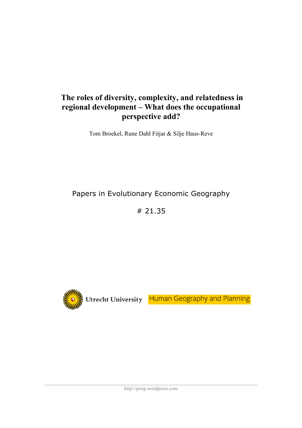# **The roles of diversity, complexity, and relatedness in regional development – What does the occupational perspective add?**

Tom Broekel, Rune Dahl Fitjar & Silje Haus-Reve

Papers in Evolutionary Economic Geography

# 21.35



Utrecht University Human Geography and Planning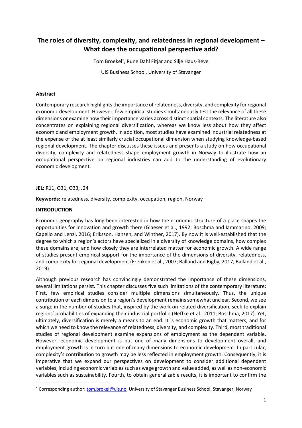# **The roles of diversity, complexity, and relatedness in regional development – What does the occupational perspective add?**

Tom Broekel\* , Rune Dahl Fitjar and Silje Haus-Reve UiS Business School, University of Stavanger

#### **Abstract**

Contemporary research highlights the importance of relatedness, diversity, and complexity for regional economic development. However, few empirical studies simultaneously test the relevance of all these dimensions or examine how their importance varies across distinct spatial contexts. The literature also concentrates on explaining regional diversification, whereas we know less about how they affect economic and employment growth. In addition, most studies have examined industrial relatedness at the expense of the at least similarly crucial occupational dimension when studying knowledge-based regional development. The chapter discusses these issues and presents a study on how occupational diversity, complexity and relatedness shape employment growth in Norway to illustrate how an occupational perspective on regional industries can add to the understanding of evolutionary economic development.

#### **JEL:** R11, O31, O33, J24

**Keywords:** relatedness, diversity, complexity, occupation, region, Norway

#### **INTRODUCTION**

Economic geography has long been interested in how the economic structure of a place shapes the opportunities for innovation and growth there (Glaeser et al., 1992; Boschma and Iammarino, 2009; Capello and Lenzi, 2016; Eriksson, Hansen, and Winther, 2017). By now it is well-established that the degree to which a region's actors have specialized in a diversity of knowledge domains, how complex these domains are, and how closely they are interrelated matter for economic growth. A wide range of studies present empirical support for the importance of the dimensions of diversity, relatedness, and complexity for regional development (Frenken et al., 2007; Balland and Rigby, 2017; Balland et al., 2019).

Although previous research has convincingly demonstrated the importance of these dimensions, several limitations persist. This chapter discusses five such limitations of the contemporary literature: First, few empirical studies consider multiple dimensions simultaneously. Thus, the unique contribution of each dimension to a region's development remains somewhat unclear. Second, we see a surge in the number of studies that, inspired by the work on related diversification, seek to explain regions' probabilities of expanding their industrial portfolio (Neffke et al., 2011; Boschma, 2017). Yet, ultimately, diversification is merely a means to an end. It is economic growth that matters, and for which we need to know the relevance of relatedness, diversity, and complexity. Third, most traditional studies of regional development examine expansions of employment as the dependent variable. However, economic development is but one of many dimensions to development overall, and employment growth is in turn but one of many dimensions to economic development. In particular, complexity's contribution to growth may be less reflected in employment growth. Consequently, it is imperative that we expand our perspectives on development to consider additional dependent variables, including economic variables such as wage growth and value added, as well as non-economic variables such as sustainability. Fourth, to obtain generalizable results, it is important to confirm the

<sup>\*</sup> Corresponding author: tom.brokel@uis.no, University of Stavanger Business School, Stavanger, Norway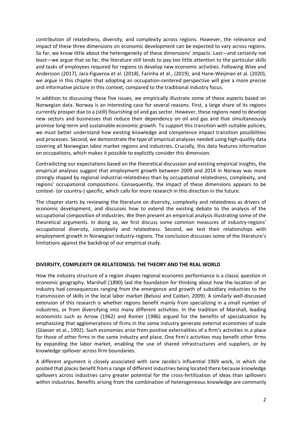contribution of relatedness, diversity, and complexity across regions. However, the relevance and impact of these three dimensions on economic development can be expected to vary across regions. So far, we know little about the heterogeneity of these dimensions' impacts. Last—and certainly not least—we argue that so far, the literature still tends to pay too little attention to the particular skills and tasks of employees required for regions to develop new economic activities. Following Wixe and Andersson (2017), Jara-Figueroa et al. (2018), Farinha et al., (2019), and Hane-Weijman et al. (2020), we argue in this chapter that adopting an occupation-centered perspective will give a more precise and informative picture in this context, compared to the traditional industry focus.

In addition to discussing these five issues, we empirically illustrate some of these aspects based on Norwegian data. Norway is an interesting case for several reasons. First, a large share of its regions currently prosper due to a (still) flourishing oil and gas sector. However, these regions need to develop new sectors and businesses that reduce their dependency on oil and gas and that simultaneously promise long-term and sustainable economic growth. To support this transition with suitable policies, we must better understand how existing knowledge and competence impact transition possibilities and processes. Second, we demonstrate the type of empirical analyses needed using high-quality data covering all Norwegian labor market regions and industries. Crucially, this data features information on occupations, which makes it possible to explicitly consider this dimension.

Contradicting our expectations based on the theoretical discussion and existing empirical insights, the empirical analyses suggest that employment growth between 2009 and 2014 in Norway was more strongly shaped by regional industrial relatedness than by occupational relatedness, complexity, and regions' occupational compositions. Consequently, the impact of these dimensions appears to be context- (or country-) specific, which calls for more research in this direction in the future.

The chapter starts by reviewing the literature on diversity, complexity and relatedness as drivers of economic development, and discusses how to extend the existing debate to the analysis of the occupational composition of industries. We then present an empirical analysis illustrating some of the theoretical arguments. In doing so, we first discuss some common measures of industry-regions' occupational diversity, complexity and relatedness. Second, we test their relationships with employment growth in Norwegian industry-regions. The conclusion discusses some of the literature's limitations against the backdrop of our empirical study.

#### **DIVERSITY, COMPLEXITY OR RELATEDNESS: THE THEORY AND THE REAL WORLD**

How the industry structure of a region shapes regional economic performance is a classic question in economic geography. Marshall (1890) laid the foundation for thinking about how the location of an industry had consequences ranging from the emergence and growth of subsidiary industries to the transmission of skills in the local labor market (Belussi and Caldari, 2009). A similarly well-discussed extension of this research is whether regions benefit mainly from specializing in a small number of industries, or from diversifying into many different activities. In the tradition of Marshall, leading economists such as Arrow (1962) and Romer (1986) argued for the benefits of specialization by emphasizing that agglomerations of firms in the same industry generate external economies of scale (Glaeser et al., 1992). Such economies arise from positive externalities of a firm's activities in a place for those of other firms in the same industry and place. One firm's activities may benefit other firms by expanding the labor market, enabling the use of shared infrastructures and suppliers, or by knowledge spillover across firm boundaries.

A different argument is closely associated with Jane Jacobs's influential 1969 work, in which she posited that places benefit from a range of different industries being located there because knowledge spillovers across industries carry greater potential for the cross-fertilization of ideas than spillovers within industries. Benefits arising from the combination of heterogeneous knowledge are commonly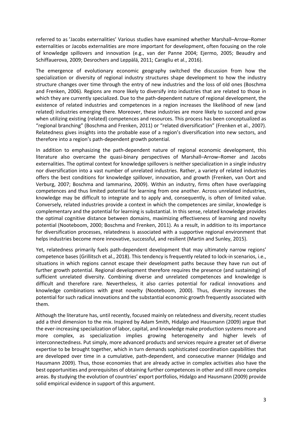referred to as 'Jacobs externalities' Various studies have examined whether Marshall–Arrow–Romer externalities or Jacobs externalities are more important for development, often focusing on the role of knowledge spillovers and innovation (e.g., van der Panne 2004; Ejermo, 2005; Beaudry and Schiffauerova, 2009; Desrochers and Leppälä, 2011; Caragliu et al., 2016).

The emergence of evolutionary economic geography switched the discussion from how the specialization or diversity of regional industry structures shape development to how the industry structure changes over time through the entry of new industries and the loss of old ones (Boschma and Frenken, 2006). Regions are more likely to diversify into industries that are related to those in which they are currently specialized. Due to the path-dependent nature of regional development, the existence of related industries and competences in a region increases the likelihood of new (and related) industries emerging there. Moreover, these industries are more likely to succeed and grow when utilizing existing (related) competences and resources. This process has been conceptualized as "regional branching" (Boschma and Frenken, 2011) or "related diversification" (Frenken et al., 2007). Relatedness gives insights into the probable ease of a region's diversification into new sectors, and therefore into a region's path-dependent growth potential.

In addition to emphasizing the path-dependent nature of regional economic development, this literature also overcame the quasi-binary perspectives of Marshall–Arrow–Romer and Jacobs externalities. The optimal context for knowledge spillovers is neither specialization in a single industry nor diversification into a vast number of unrelated industries. Rather, a variety of related industries offers the best conditions for knowledge spillover, innovation, and growth (Frenken, van Oort and Verburg, 2007; Boschma and Iammarino, 2009). Within an industry, firms often have overlapping competences and thus limited potential for learning from one another. Across unrelated industries, knowledge may be difficult to integrate and to apply and, consequently, is often of limited value. Conversely, related industries provide a context in which the competences are similar, knowledge is complementary and the potential for learning is substantial. In this sense, related knowledge provides the optimal cognitive distance between domains, maximizing effectiveness of learning and novelty potential (Nooteboom, 2000; Boschma and Frenken, 2011). As a result, in addition to its importance for diversification processes, relatedness is associated with a supportive regional environment that helps industries become more innovative, successful, and resilient (Martin and Sunley, 2015).

Yet, relatedness primarily fuels path-dependent development that may ultimately narrow regions' competence bases (Grillitsch et al., 2018). This tendency is frequently related to lock-in scenarios, i.e., situations in which regions cannot escape their development paths because they have run out of further growth potential. Regional development therefore requires the presence (and sustaining) of sufficient unrelated diversity. Combining diverse and unrelated competences and knowledge is difficult and therefore rare. Nevertheless, it also carries potential for radical innovations and knowledge combinations with great novelty (Nooteboom, 2000). Thus, diversity increases the potential for such radical innovations and the substantial economic growth frequently associated with them.

Although the literature has, until recently, focused mainly on relatedness and diversity, recent studies add a third dimension to the mix. Inspired by Adam Smith, Hidalgo and Hausmann (2009) argue that the ever-increasing specialization of labor, capital, and knowledge make production systems more and more complex, as specialization implies growing heterogeneity and higher levels of interconnectedness. Put simply, more advanced products and services require a greater set of diverse expertise to be brought together, which in turn demands sophisticated coordination capabilities that are developed over time in a cumulative, path-dependent, and consecutive manner (Hidalgo and Hausmann 2009). Thus, those economies that are already active in complex activities also have the best opportunities and prerequisites of obtaining further competences in other and still more complex areas. By studying the evolution of countries' export portfolios, Hidalgo and Hausmann (2009) provide solid empirical evidence in support of this argument.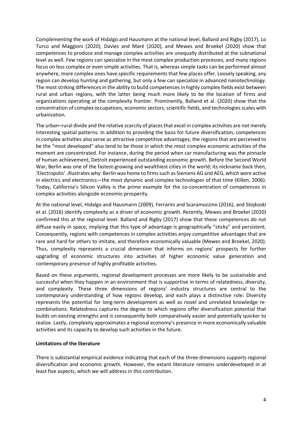Complementing the work of Hidalgo and Hausmann at the national level, Balland and Rigby (2017), Lo Turco and Maggioni (2020), Davies and Maré (2020), and Mewes and Broekel (2020) show that competences to produce and manage complex activities are unequally distributed at the subnational level as well. Few regions can specialize in the most complex production processes, and many regions focus on less complex or even simple activities. That is, whereas simple tasks can be performed almost anywhere, more complex ones have specific requirements that few places offer. Loosely speaking, any region can develop hunting and gathering, but only a few can specialize in advanced nanotechnology. The most striking differences in the ability to build competences in highly complex fields exist between rural and urban regions, with the latter being much more likely to be the location of firms and organizations operating at the complexity frontier. Prominently, Balland et al. (2020) show that the concentration of complex occupations, economic sectors, scientific fields, and technologies scales with urbanization.

The urban–rural divide and the relative scarcity of places that excel in complex activities are not merely interesting spatial patterns. In addition to providing the basis for future diversification, competences in complex activities also serve as attractive competitive advantages; the regions that are perceived to be the "most developed" also tend to be those in which the most complex economic activities of the moment are concentrated. For instance, during the period when car manufacturing was the pinnacle of human achievement, Detroit experienced outstanding economic growth. Before the Second World War, Berlin was one of the fastest-growing and wealthiest cities in the world; its nickname back then, 'Electropolis'. illustrates why: Berlin was home to firms such as Siemens AG and AEG, which were active in electrics and electronics—the most dynamic and complex technologies of that time (Killen, 2006). Today, California's Silicon Valley is the prime example for the co-concentration of competences in complex activities alongside economic prosperity.

At the national level, Hidalgo and Hausmann (2009), Ferrarini and Scaramozzino (2016), and Stojkoski et al. (2016) identify complexity as a driver of economic growth. Recently, Mewes and Broekel (2020) confirmed this at the regional level. Balland and Rigby (2017) show that these competences do not diffuse easily in space, implying that this type of advantage is geographically "sticky" and persistent. Consequently, regions with competences in complex activities enjoy competitive advantages that are rare and hard for others to imitate, and therefore economically valuable (Mewes and Broekel, 2020). Thus, complexity represents a crucial dimension that informs on regions' prospects for further upgrading of economic structures into activities of higher economic value generation and contemporary presence of highly profitable activities.

Based on these arguments, regional development processes are more likely to be sustainable and successful when they happen in an environment that is supportive in terms of relatedness, diversity, and complexity. These three dimensions of regions' industry structures are central to the contemporary understanding of how regions develop, and each plays a distinctive role: Diversity represents the potential for long-term development as well as novel and unrelated knowledge recombinations. Relatedness captures the degree to which regions offer diversification potential that builds on existing strengths and is consequently both comparatively easier and potentially quicker to realize. Lastly, complexity approximates a regional economy's presence in more economically valuable activities and its capacity to develop such activities in the future.

#### **Limitations of the literature**

There is substantial empirical evidence indicating that each of the three dimensions supports regional diversification and economic growth. However, the extant literature remains underdeveloped in at least five aspects, which we will address in this contribution.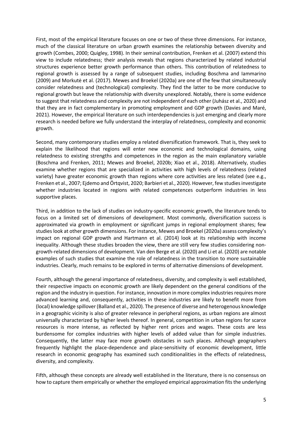First, most of the empirical literature focuses on one or two of these three dimensions. For instance, much of the classical literature on urban growth examines the relationship between diversity and growth (Combes, 2000; Quigley, 1998). In their seminal contribution, Frenken et al. (2007) extend this view to include relatedness; their analysis reveals that regions characterized by related industrial structures experience better growth performance than others. This contribution of relatedness to regional growth is assessed by a range of subsequent studies, including Boschma and Iammarino (2009) and Morkutė et al. (2017). Mewes and Broekel (2020a) are one of the few that simultaneously consider relatedness and (technological) complexity. They find the latter to be more conducive to regional growth but leave the relationship with diversity unexplored. Notably, there is some evidence to suggest that relatedness and complexity are not independent of each other (Juhász et al., 2020) and that they are in fact complementary in promoting employment and GDP growth (Davies and Maré, 2021). However, the empirical literature on such interdependencies is just emerging and clearly more research is needed before we fully understand the interplay of relatedness, complexity and economic growth.

Second, many contemporary studies employ a related diversification framework. That is, they seek to explain the likelihood that regions will enter new economic and technological domains, using relatedness to existing strengths and competences in the region as the main explanatory variable (Boschma and Frenken, 2011; Mewes and Broekel, 2020b; Xiao et al., 2018). Alternatively, studies examine whether regions that are specialized in activities with high levels of relatedness (related variety) have greater economic growth than regions where core activities are less related (see e.g., Frenken et al., 2007; Ejdemo and Örtqvist, 2020; Barbieri et al., 2020). However, few studies investigate whether industries located in regions with related competences outperform industries in less supportive places.

Third, in addition to the lack of studies on industry-specific economic growth, the literature tends to focus on a limited set of dimensions of development. Most commonly, diversification success is approximated via growth in employment or significant jumps in regional employment shares; few studies look at other growth dimensions. For instance, Mewes and Broekel (2020a) assess complexity's impact on regional GDP growth and Hartmann et al. (2014) look at its relationship with income inequality. Although these studies broaden the view, there are still very few studies considering nongrowth-related dimensions of development. Van den Berge et al. (2020) and Li et al. (2020) are notable examples of such studies that examine the role of relatedness in the transition to more sustainable industries. Clearly, much remains to be explored in terms of alternative dimensions of development.

Fourth, although the general importance of relatedness, diversity, and complexity is well established, their respective impacts on economic growth are likely dependent on the general conditions of the region and the industry in question. For instance, innovation in more complex industries requires more advanced learning and, consequently, activities in these industries are likely to benefit more from (local) knowledge spillover(Balland et al., 2020). The presence of diverse and heterogenous knowledge in a geographic vicinity is also of greater relevance in peripheral regions, as urban regions are almost universally characterized by higher levels thereof. In general, competition in urban regions for scarce resources is more intense, as reflected by higher rent prices and wages. These costs are less burdensome for complex industries with higher levels of added value than for simple industries. Consequently, the latter may face more growth obstacles in such places. Although geographers frequently highlight the place-dependence and place-sensitivity of economic development, little research in economic geography has examined such conditionalities in the effects of relatedness, diversity, and complexity.

Fifth, although these concepts are already well established in the literature, there is no consensus on how to capture them empirically or whether the employed empirical approximation fits the underlying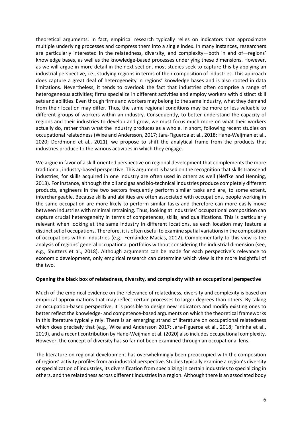theoretical arguments. In fact, empirical research typically relies on indicators that approximate multiple underlying processes and compress them into a single index. In many instances, researchers are particularly interested in the relatedness, diversity, and complexity—both in and of—regions' knowledge bases, as well as the knowledge-based processes underlying these dimensions. However, as we will argue in more detail in the next section, most studies seek to capture this by applying an industrial perspective, i.e., studying regions in terms of their composition of industries. This approach does capture a great deal of heterogeneity in regions' knowledge bases and is also rooted in data limitations. Nevertheless, it tends to overlook the fact that industries often comprise a range of heterogeneous activities; firms specialize in different activities and employ workers with distinct skill sets and abilities. Even though firms and workers may belong to the same industry, what they demand from their location may differ. Thus, the same regional conditions may be more or less valuable to different groups of workers within an industry. Consequently, to better understand the capacity of regions and their industries to develop and grow, we must focus much more on what their workers actually do, rather than what the industry produces as a whole. In short, following recent studies on occupational relatedness (Wixe and Andersson, 2017; Jara-Figueroa et al., 2018; Hane-Weijman et al., 2020; Dordmond et al., 2021), we propose to shift the analytical frame from the products that industries produce to the various activities in which they engage.

We argue in favor of a skill-oriented perspective on regional development that complements the more traditional, industry-based perspective. This argument is based on the recognition that skills transcend industries, for skills acquired in one industry are often used in others as well (Neffke and Henning, 2013). For instance, although the oil and gas and bio-technical industries produce completely different products, engineers in the two sectors frequently perform similar tasks and are, to some extent, interchangeable. Because skills and abilities are often associated with occupations, people working in the same occupation are more likely to perform similar tasks and therefore can more easily move between industries with minimal retraining. Thus, looking at industries' occupational composition can capture crucial heterogeneity in terms of competences, skills, and qualifications. This is particularly relevant when looking at the same industry in different locations, as each location may feature a distinct set of occupations. Therefore, it is often useful to examine spatial variations in the composition of occupations within industries (e.g., Fernández-Macías, 2012). Complementarly to this view is the analysis of regions' general occupational portfolios without considering the industrial dimension (see, e.g., Shutters et al., 2018). Although arguments can be made for each perspective's relevance to economic development, only empirical research can determine which view is the more insightful of the two.

# **Opening the black box of relatedness, diversity, and complexity with an occupational perspective**

Much of the empirical evidence on the relevance of relatedness, diversity and complexity is based on empirical approximations that may reflect certain processes to larger degrees than others. By taking an occupation-based perspective, it is possible to design new indicators and modify existing ones to better reflect the knowledge- and competence-based arguments on which the theoretical frameworks in this literature typically rely. There is an emerging strand of literature on occupational relatedness which does precisely that (e.g., Wixe and Andersson 2017; Jara-Figueroa et al., 2018; Farinha et al., 2019), and a recent contribution by Hane-Weijman et al. (2020) also includes occupational complexity. However, the concept of diversity has so far not been examined through an occupational lens.

The literature on regional development has overwhelmingly been preoccupied with the composition of regions' activity profiles from an industrial perspective. Studies typically examine a region's diversity or specialization of industries, its diversification from specializing in certain industries to specializing in others, and the relatedness across different industries in a region. Although there is an associated body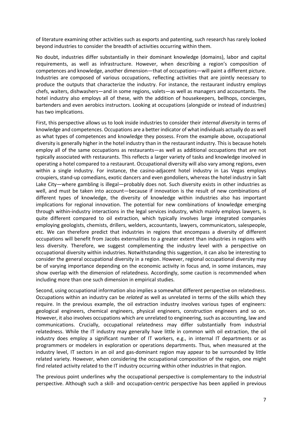of literature examining other activities such as exports and patenting, such research has rarely looked beyond industries to consider the breadth of activities occurring within them.

No doubt, industries differ substantially in their dominant knowledge (domains), labor and capital requirements, as well as infrastructure. However, when describing a region's composition of competences and knowledge, another dimension—that of occupations—will paint a different picture. Industries are composed of various occupations, reflecting activities that are jointly necessary to produce the outputs that characterize the industry. For instance, the restaurant industry employs chefs, waiters, dishwashers—and in some regions, valets—as well as managers and accountants. The hotel industry also employs all of these, with the addition of housekeepers, bellhops, concierges, bartenders and even aerobics instructors. Looking at occupations (alongside or instead of industries) has two implications.

First, this perspective allows us to look inside industries to consider their *internal diversity* in terms of knowledge and competences. Occupations are a better indicator of what individuals actually do as well as what types of competences and knowledge they possess. From the example above, occupational diversity is generally higher in the hotel industry than in the restaurant industry. This is because hotels employ all of the same occupations as restaurants—as well as additional occupations that are not typically associated with restaurants. This reflects a larger variety of tasks and knowledge involved in operating a hotel compared to a restaurant. Occupational diversity will also vary among regions, even within a single industry. For instance, the casino-adjacent hotel industry in Las Vegas employs croupiers, stand-up comedians, exotic dancers and even gondoliers, whereas the hotel industry in Salt Lake City—where gambling is illegal—probably does not. Such diversity exists in other industries as well, and must be taken into account—because if innovation is the result of new combinations of different types of knowledge, the diversity of knowledge within industries also has important implications for regional innovation. The potential for new combinations of knowledge emerging through within-industry interactions in the legal services industry, which mainly employs lawyers, is quite different compared to oil extraction, which typically involves large integrated companies employing geologists, chemists, drillers, welders, accountants, lawyers, communicators, salespeople, etc. We can therefore predict that industries in regions that encompass a diversity of different occupations will benefit from Jacobs externalities to a greater extent than industries in regions with less diversity. Therefore, we suggest complementing the industry level with a perspective on occupational diversity within industries. Notwithstanding this suggestion, it can also be interesting to consider the general occupational diversity in a region. However, regional occupational diversity may be of varying importance depending on the economic activity in focus and, in some instances, may show overlap with the dimension of relatedness. Accordingly, some caution is recommended when including more than one such dimension in empirical studies.

Second, using occupational information also implies a somewhat different perspective on relatedness. Occupations within an industry can be *related* as well as unrelated in terms of the skills which they require. In the previous example, the oil extraction industry involves various types of engineers: geological engineers, chemical engineers, physical engineers, construction engineers and so on. However, it also involves occupations which are unrelated to engineering, such as accounting, law and communications. Crucially, occupational relatedness may differ substantially from industrial relatedness. While the IT industry may generally have little in common with oil extraction, the oil industry does employ a significant number of IT workers, e.g., in internal IT departments or as programmers or modelers in exploration or operations departments. Thus, when measured at the industry level, IT sectors in an oil and gas-dominant region may appear to be surrounded by little related variety. However, when considering the occupational composition of the region, one might find related activity related to the IT industry occurring within other industries in that region.

The previous point underlines why the occupational perspective is complementary to the industrial perspective. Although such a skill- and occupation-centric perspective has been applied in previous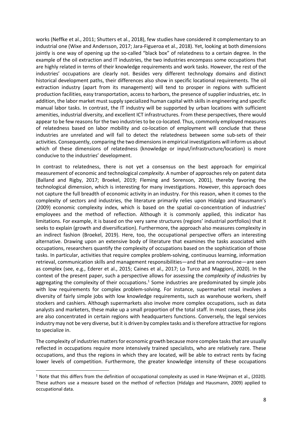works (Neffke et al., 2011; Shutters et al., 2018), few studies have considered it complementary to an industrial one (Wixe and Andersson, 2017; Jara-Figueroa et al., 2018). Yet, looking at both dimensions jointly is one way of opening up the so-called "black box" of relatedness to a certain degree. In the example of the oil extraction and IT industries, the two industries encompass some occupations that are highly related in terms of their knowledge requirements and work tasks. However, the rest of the industries' occupations are clearly not. Besides very different technology domains and distinct historical development paths, their differences also show in specific locational requirements. The oil extraction industry (apart from its management) will tend to prosper in regions with sufficient production facilities, easy transportation, access to harbors, the presence of supplier industries, etc. In addition, the labor market must supply specialized human capital with skills in engineering and specific manual labor tasks. In contrast, the IT industry will be supported by urban locations with sufficient amenities, industrial diversity, and excellent ICT infrastructures. From these perspectives, there would appear to be few reasons for the two industries to be co-located. Thus, commonly employed measures of relatedness based on labor mobility and co-location of employment will conclude that these industries are unrelated and will fail to detect the relatedness between some sub-sets of their activities. Consequently, comparing the two dimensionsin empirical investigations will inform us about which of these dimensions of relatedness (knowledge or input/infrastructure/location) is more conducive to the industries' development.

In contrast to relatedness, there is not yet a consensus on the best approach for empirical measurement of economic and technological *complexity*. A number of approaches rely on patent data (Balland and Rigby, 2017; Broekel, 2019; Fleming and Sorenson, 2001), thereby favoring the technological dimension, which is interesting for many investigations. However, this approach does not capture the full breadth of economic activity in an industry. For this reason, when it comes to the complexity of sectors and industries, the literature primarily relies upon Hidalgo and Hausmann's (2009) economic complexity index, which is based on the spatial co-concentration of industries' employees and the method of reflection. Although it is commonly applied, this indicator has limitations. For example, it is based on the very same structures (regions' industrial portfolios) that it seeks to explain (growth and diversification). Furthermore, the approach also measures complexity in an indirect fashion (Broekel, 2019). Here, too, the occupational perspective offers an interesting alternative. Drawing upon an extensive body of literature that examines the tasks associated with occupations, researchers quantify the complexity of occupations based on the sophistication of those tasks. In particular, activities that require complex problem-solving, continuous learning, information retrieval, communication skills and management responsibilities—and that are nonroutine—are seen as complex (see, e.g., Ederer et al., 2015; Caines et al., 2017; Lo Turco and Maggioni, 2020). In the context of the present paper, such a perspective allows for assessing the *complexity of industries* by aggregating the complexity of their occupations. $<sup>1</sup>$  Some industries are predominated by simple jobs</sup> with low requirements for complex problem-solving. For instance, supermarket retail involves a diversity of fairly simple jobs with low knowledge requirements, such as warehouse workers, shelf stockers and cashiers. Although supermarkets also involve more complex occupations, such as data analysts and marketers, these make up a small proportion of the total staff. In most cases, these jobs are also concentrated in certain regions with headquarters functions. Conversely, the legal services industry may not be very diverse, but it is driven by complex tasks and istherefore attractive for regions to specialize in.

The complexity of industries matters for economic growth because more complex tasksthat are usually reflected in occupations require more intensively trained specialists, who are relatively rare. These occupations, and thus the regions in which they are located, will be able to extract rents by facing lower levels of competition. Furthermore, the greater knowledge intensity of these occupations

 $1$  Note that this differs from the definition of occupational complexity as used in Hane-Weijman et al., (2020). These authors use a measure based on the method of reflection (Hidalgo and Hausmann, 2009) applied to occupational data.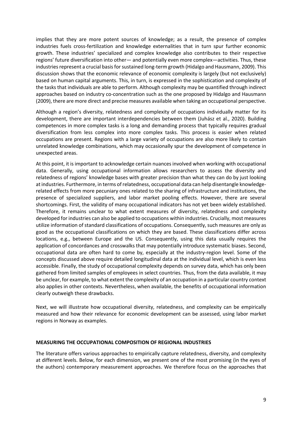implies that they are more potent sources of knowledge; as a result, the presence of complex industries fuels cross-fertilization and knowledge externalities that in turn spur further economic growth. These industries' specialized and complex knowledge also contributes to their respective regions' future diversification into other— and potentially even more complex—activities. Thus, these industries represent a crucial basis for sustained long-term growth (Hidalgo and Hausmann, 2009). This discussion shows that the economic relevance of economic complexity is largely (but not exclusively) based on human capital arguments. This, in turn, is expressed in the sophistication and complexity of the tasks that individuals are able to perform. Although complexity may be quantified through indirect approaches based on industry co-concentration such as the one proposed by Hidalgo and Hausmann (2009), there are more direct and precise measures available when taking an occupational perspective.

Although a region's diversity, relatedness and complexity of occupations individually matter for its development, there are important interdependencies between them (Juhász et al., 2020). Building competences in more complex tasks is a long and demanding process that typically requires gradual diversification from less complex into more complex tasks. This process is easier when related occupations are present. Regions with a large variety of occupations are also more likely to contain unrelated knowledge combinations, which may occasionally spur the development of competence in unexpected areas.

At this point, it is important to acknowledge certain nuances involved when working with occupational data. Generally, using occupational information allows researchers to assess the diversity and relatedness of regions' knowledge bases with greater precision than what they can do by just looking at industries. Furthermore, in terms of relatedness, occupational data can help disentangle knowledgerelated effects from more pecuniary ones related to the sharing of infrastructure and institutions, the presence of specialized suppliers, and labor market pooling effects. However, there are several shortcomings. First, the validity of many occupational indicators has not yet been widely established. Therefore, it remains unclear to what extent measures of diversity, relatedness and complexity developed for industries can also be applied to occupations within industries. Crucially, most measures utilize information of standard classifications of occupations. Consequently, such measures are only as good as the occupational classifications on which they are based. These classifications differ across locations, e.g., between Europe and the US. Consequently, using this data usually requires the application of concordances and crosswalks that may potentially introduce systematic biases. Second, occupational data are often hard to come by, especially at the industry-region level. Some of the concepts discussed above require detailed longitudinal data at the individual level, which is even less accessible. Finally, the study of occupational complexity depends on survey data, which has only been gathered from limited samples of employees in select countries. Thus, from the data available, it may be unclear, for example, to what extent the complexity of an occupation in a particular country context also applies in other contexts. Nevertheless, when available, the benefits of occupational information clearly outweigh these drawbacks.

Next, we will illustrate how occupational diversity, relatedness, and complexity can be empirically measured and how their relevance for economic development can be assessed, using labor market regions in Norway as examples.

#### **MEASURING THE OCCUPATIONAL COMPOSITION OF REGIONAL INDUSTRIES**

The literature offers various approaches to empirically capture relatedness, diversity, and complexity at different levels. Below, for each dimension, we present one of the most promising (in the eyes of the authors) contemporary measurement approaches. We therefore focus on the approaches that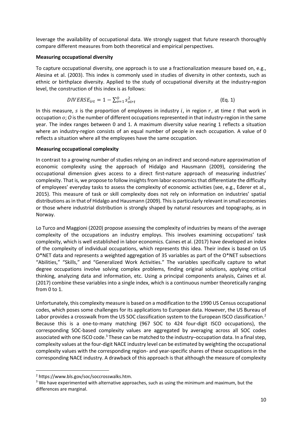leverage the availability of occupational data. We strongly suggest that future research thoroughly compare different measures from both theoretical and empirical perspectives.

#### **Measuring occupational diversity**

To capture occupational diversity, one approach is to use a fractionalization measure based on, e.g., Alesina et al. (2003). This index is commonly used in studies of diversity in other contexts, such as ethnic or birthplace diversity. Applied to the study of occupational diversity at the industry-region level, the construction of this index is as follows:

$$
DIVERSE_{irt} = 1 - \sum_{o=1}^{O} s_{oirt}^2
$$
 (Eq. 1)

In this measure, s is the proportion of employees in industry  $i$ , in region  $r$ , at time  $t$  that work in occupation  $o$ ; *O* is the number of different occupations represented in that industry-region in the same year. The index ranges between 0 and 1. A maximum diversity value nearing 1 reflects a situation where an industry-region consists of an equal number of people in each occupation. A value of 0 reflects a situation where all the employees have the same occupation.

#### **Measuring occupational complexity**

In contrast to a growing number of studies relying on an indirect and second-nature approximation of economic complexity using the approach of Hidalgo and Hausmann (2009), considering the occupational dimension gives access to a direct first-nature approach of measuring industries' complexity. That is, we propose to follow insights from labor economicsthat differentiate the difficulty of employees' everyday tasks to assess the complexity of economic activities (see, e.g., Ederer et al., 2015). This measure of task or skill complexity does not rely on information on industries' spatial distributions as in that of Hidalgo and Hausmann (2009). Thisis particularly relevant in small economies or those where industrial distribution is strongly shaped by natural resources and topography, as in Norway.

Lo Turco and Maggioni (2020) propose assessing the complexity of industries by means of the average complexity of the occupations an industry employs. This involves examining occupations' task complexity, which is well established in labor economics. Caines et al. (2017) have developed an index of the complexity of individual occupations, which represents this idea. Their index is based on US O\*NET data and represents a weighted aggregation of 35 variables as part of the O\*NET subsections "Abilities," "Skills," and "Generalized Work Activities." The variables specifically capture to what degree occupations involve solving complex problems, finding original solutions, applying critical thinking, analyzing data and information, etc. Using a principal components analysis, Caines et al. (2017) combine these variables into a single index, which is a continuous number theoretically ranging from 0 to 1.

Unfortunately, this complexity measure is based on a modification to the 1990 US Census occupational codes, which poses some challenges for its applications to European data. However, the US Bureau of Labor provides a crosswalk from the US SOC classification system to the European ISCO classification.<sup>2</sup> Because this is a one-to-many matching (967 SOC to 424 four-digit ISCO occupations), the corresponding SOC-based complexity values are aggregated by averaging across all SOC codes associated with one ISCO code.<sup>3</sup> These can be matched to the industry–occupation data. In a final step, complexity values at the four-digit NACE industry level can be estimated by weighting the occupational complexity values with the corresponding region- and year-specific shares of these occupations in the corresponding NACE industry. A drawback of this approach is that although the measure of complexity

<sup>2</sup> https://www.bls.gov/soc/soccrosswalks.htm.

<sup>&</sup>lt;sup>3</sup> We have experimented with alternative approaches, such as using the minimum and maximum, but the differences are marginal.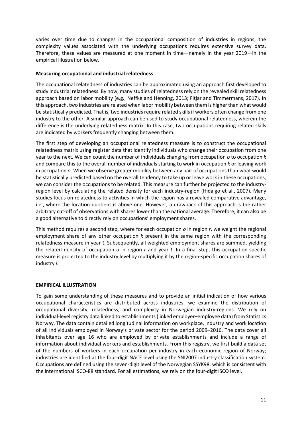varies over time due to changes in the occupational composition of industries in regions, the complexity values associated with the underlying occupations requires extensive survey data. Therefore, these values are measured at one moment in time—namely in the year 2019—in the empirical illustration below.

#### **Measuring occupational and industrial relatedness**

The occupational relatedness of industries can be approximated using an approach first developed to study industrial relatedness. By now, many studies of relatednessrely on the revealed skill relatedness approach based on labor mobility (e.g., Neffke and Henning, 2013; Fitjar and Timmermans, 2017). In this approach, two industries are related when labor mobility between them is higher than what would be statistically predicted. That is, two industries require related skills if workers often change from one industry to the other. A similar approach can be used to study occupational relatedness, wherein the difference is the underlying relatedness matrix. In this case, two occupations requiring related skills are indicated by workers frequently changing between them.

The first step of developing an occupational relatedness measure is to construct the occupational relatedness matrix using register data that identify individuals who change their occupation from one year to the next. We can count the number of individuals changing from occupation *o* to occupation *k* and compare this to the overall number of individuals starting to work in occupation *k* or leaving work in occupation *o*. When we observe greater mobility between any pair of occupations than what would be statistically predicted based on the overall tendency to take up or leave work in these occupations, we can consider the occupations to be related. This measure can further be projected to the industryregion level by calculating the related density for each industry-region (Hidalgo et al., 2007). Many studies focus on relatedness to activities in which the region has a revealed comparative advantage, i.e., where the location quotient is above one. However, a drawback of this approach is the rather arbitrary cut-off of observations with shares lower than the national average. Therefore, it can also be a good alternative to directly rely on occupations' employment shares.

This method requires a second step, where for each occupation *o* in region *r*, we weight the regional employment share of any other occupation *k* present in the same region with the corresponding relatedness measure in year *t*. Subsequently, all weighted employment shares are summed, yielding the related density of occupation *o* in region *r* and year *t*. In a final step, this occupation-specific measure is projected to the industry level by multiplying it by the region-specific occupation shares of industry *i*.

# **EMPIRICAL ILLUSTRATION**

To gain some understanding of these measures and to provide an initial indication of how various occupational characteristics are distributed across industries, we examine the distribution of occupational diversity, relatedness, and complexity in Norwegian industry-regions. We rely on individual-level registry data linked to establishments (linked employer–employee data) from Statistics Norway. The data contain detailed longitudinal information on workplace, industry and work location of all individuals employed in Norway's private sector for the period 2009–2016. The data cover all inhabitants over age 16 who are employed by private establishments and include a range of information about individual workers and establishments. From this registry, we first build a data set of the numbers of workers in each occupation per industry in each economic region of Norway; industries are identified at the four-digit NACE level using the SNI2007 industry classification system. Occupations are defined using the seven-digit level of the Norwegian SSYK98, which is consistent with the international ISCO-88 standard. For all estimations, we rely on the four-digit ISCO level.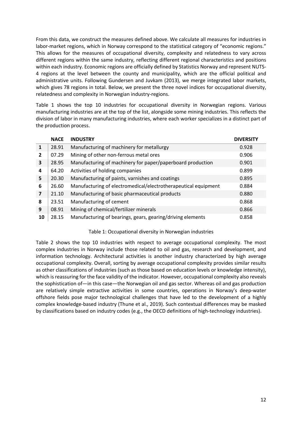From this data, we construct the measures defined above. We calculate all measures for industries in labor-market regions, which in Norway correspond to the statistical category of "economic regions." This allows for the measures of occupational diversity, complexity and relatedness to vary across different regions within the same industry, reflecting different regional characteristics and positions within each industry. Economic regions are officially defined by Statistics Norway and represent NUTS-4 regions at the level between the county and municipality, which are the official political and administrative units. Following Gundersen and Juvkam (2013), we merge integrated labor markets, which gives 78 regions in total. Below, we present the three novel indices for occupational diversity, relatedness and complexity in Norwegian industry-regions.

Table 1 shows the top 10 industries for occupational diversity in Norwegian regions. Various manufacturing industries are at the top of the list, alongside some mining industries. This reflects the division of labor in many manufacturing industries, where each worker specializes in a distinct part of the production process.

|                | <b>NACE</b> | <b>INDUSTRY</b>                                                | <b>DIVERSITY</b> |
|----------------|-------------|----------------------------------------------------------------|------------------|
| 1              | 28.91       | Manufacturing of machinery for metallurgy                      | 0.928            |
| $\overline{2}$ | 07.29       | Mining of other non-ferrous metal ores                         | 0.906            |
| 3              | 28.95       | Manufacturing of machinery for paper/paperboard production     | 0.901            |
| 4              | 64.20       | Activities of holding companies                                | 0.899            |
| 5              | 20.30       | Manufacturing of paints, varnishes and coatings                | 0.895            |
| 6              | 26.60       | Manufacturing of electromedical/electrotherapeutical equipment | 0.884            |
| 7              | 21.10       | Manufacturing of basic pharmaceutical products                 | 0.880            |
| 8              | 23.51       | Manufacturing of cement                                        | 0.868            |
| 9              | 08.91       | Mining of chemical/fertilizer minerals                         | 0.866            |
| 10             | 28.15       | Manufacturing of bearings, gears, gearing/driving elements     | 0.858            |

#### Table 1: Occupational diversity in Norwegian industries

Table 2 shows the top 10 industries with respect to average occupational complexity. The most complex industries in Norway include those related to oil and gas, research and development, and information technology. Architectural activities is another industry characterized by high average occupational complexity. Overall, sorting by average occupational complexity provides similar results as other classifications of industries (such as those based on education levels or knowledge intensity), which is reassuring for the face validity of the indicator. However, occupational complexity also reveals the sophistication of—in this case—the Norwegian oil and gas sector. Whereas oil and gas production are relatively simple extractive activities in some countries, operations in Norway's deep-water offshore fields pose major technological challenges that have led to the development of a highly complex knowledge-based industry (Thune et al., 2019). Such contextual differences may be masked by classifications based on industry codes (e.g., the OECD definitions of high-technology industries).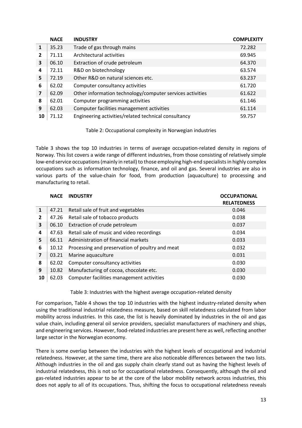|                         | <b>NACE</b> | <b>INDUSTRY</b>                                           | <b>COMPLEXITY</b> |
|-------------------------|-------------|-----------------------------------------------------------|-------------------|
| 1                       | 35.23       | Trade of gas through mains                                | 72.282            |
| $\overline{2}$          | 71.11       | Architectural activities                                  | 69.945            |
| 3                       | 06.10       | Extraction of crude petroleum                             | 64.370            |
| 4                       | 72.11       | R&D on biotechnology                                      | 63.574            |
| 5                       | 72.19       | Other R&D on natural sciences etc.                        | 63.237            |
| 6                       | 62.02       | Computer consultancy activities                           | 61.720            |
| $\overline{\mathbf{z}}$ | 62.09       | Other information technology/computer services activities | 61.622            |
| 8                       | 62.01       | Computer programming activities                           | 61.146            |
| 9                       | 62.03       | Computer facilities management activities                 | 61.114            |
| 10                      | 71.12       | Engineering activities/related technical consultancy      | 59.757            |

# Table 2: Occupational complexity in Norwegian industries

Table 3 shows the top 10 industries in terms of average occupation-related density in regions of Norway. This list covers a wide range of different industries, from those consisting of relatively simple low-end service occupations(mainly in retail) to those employing high-end specialists in highly complex occupations such as information technology, finance, and oil and gas. Several industries are also in various parts of the value-chain for food, from production (aquaculture) to processing and manufacturing to retail.

|                         | <b>NACE</b> | <b>INDUSTRY</b>                                 | <b>OCCUPATIONAL</b><br><b>RELATEDNESS</b> |
|-------------------------|-------------|-------------------------------------------------|-------------------------------------------|
| 1                       | 47.21       | Retail sale of fruit and vegetables             | 0.046                                     |
| $\overline{2}$          | 47.26       | Retail sale of tobacco products                 | 0.038                                     |
| 3                       | 06.10       | Extraction of crude petroleum                   | 0.037                                     |
| 4                       | 47.63       | Retail sale of music and video recordings       | 0.034                                     |
| 5                       | 66.11       | Administration of financial markets             | 0.033                                     |
| 6                       | 10.12       | Processing and preservation of poultry and meat | 0.032                                     |
| $\overline{\mathbf{z}}$ | 03.21       | Marine aquaculture                              | 0.031                                     |
| 8                       | 62.02       | Computer consultancy activities                 | 0.030                                     |
| 9                       | 10.82       | Manufacturing of cocoa, chocolate etc.          | 0.030                                     |
| 10                      | 62.03       | Computer facilities management activities       | 0.030                                     |

Table 3: Industries with the highest average occupation-related density

For comparison, Table 4 shows the top 10 industries with the highest industry-related density when using the traditional industrial relatedness measure, based on skill relatedness calculated from labor mobility across industries. In this case, the list is heavily dominated by industries in the oil and gas value chain, including general oil service providers, specialist manufacturers of machinery and ships, and engineering services. However, food-related industries are present here as well, reflecting another large sector in the Norwegian economy.

There is some overlap between the industries with the highest levels of occupational and industrial relatedness. However, at the same time, there are also noticeable differences between the two lists. Although industries in the oil and gas supply chain clearly stand out as having the highest levels of industrial relatedness, this is not so for occupational relatedness. Consequently, although the oil and gas-related industries appear to be at the core of the labor mobility network across industries, this does not apply to all of its occupations. Thus, shifting the focus to occupational relatedness reveals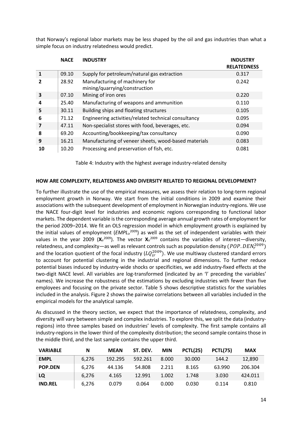that Norway's regional labor markets may be less shaped by the oil and gas industries than what a simple focus on industry relatedness would predict.

|    | <b>NACE</b> | <b>INDUSTRY</b>                                                 | <b>INDUSTRY</b><br><b>RELATEDNESS</b> |
|----|-------------|-----------------------------------------------------------------|---------------------------------------|
|    | 09.10       | Supply for petroleum/natural gas extraction                     | 0.317                                 |
| 2  | 28.92       | Manufacturing of machinery for<br>mining/quarrying/construction | 0.242                                 |
| 3  | 07.10       | Mining of iron ores                                             | 0.220                                 |
| 4  | 25.40       | Manufacturing of weapons and ammunition                         | 0.110                                 |
| 5  | 30.11       | Building ships and floating structures                          | 0.105                                 |
| 6  | 71.12       | Engineering activities/related technical consultancy            | 0.095                                 |
| 7  | 47.11       | Non-specialist stores with food, beverages, etc.                | 0.094                                 |
| 8  | 69.20       | Accounting/bookkeeping/tax consultancy                          | 0.090                                 |
| 9  | 16.21       | Manufacturing of veneer sheets, wood-based materials            | 0.083                                 |
| 10 | 10.20       | Processing and preservation of fish, etc.                       | 0.081                                 |

Table 4: Industry with the highest average industry-related density

#### **HOW ARE COMPLEXITY, RELATEDNESS AND DIVERSITY RELATED TO REGIONAL DEVELOPMENT?**

To further illustrate the use of the empirical measures, we assess their relation to long-term regional employment growth in Norway. We start from the initial conditions in 2009 and examine their associations with the subsequent development of employment in Norwegian industry-regions. We use the NACE four-digit level for industries and economic regions corresponding to functional labor markets. The dependent variable isthe corresponding average annual growth rates of employment for the period 2009–2014. We fit an OLS regression model in which employment growth is explained by the initial values of employment (*EMPL*<sub>ir</sub><sup>2009</sup>) as well as the set of independent variables with their values in the year 2009 (X<sub>ir</sub><sup>2009</sup>). The vector X<sub>ir</sub><sup>2009</sup> contains the variables of interest—diversity, relatedness, and complexity—as well as relevant controls such as population density  $(POP. DEN_r^{2009})$ and the location quotient of the focal industry ( $LQ_{ir}^{2009}$ ). We use multiway clustered standard errors to account for potential clustering in the industrial and regional dimensions. To further reduce potential biases induced by industry-wide shocks or specificities, we add industry-fixed effects at the two-digit NACE level. All variables are log-transformed (indicated by an 'l' preceding the variables' names). We increase the robustness of the estimations by excluding industries with fewer than five employees and focusing on the private sector. Table 5 shows descriptive statistics for the variables included in the analysis. Figure 2 shows the pairwise correlations between all variables included in the empirical models for the analytical sample.

As discussed in the theory section, we expect that the importance of relatedness, complexity, and diversity will vary between simple and complex industries. To explore this, we split the data (industryregions) into three samples based on industries' levels of complexity. The first sample contains all industry-regions in the lower third of the complexity distribution; the second sample contains those in the middle third, and the last sample contains the upper third.

| <b>VARIABLE</b> | N     | <b>MEAN</b> | ST. DEV. | <b>MIN</b> | PCTL(25) | PCTL(75) | <b>MAX</b> |
|-----------------|-------|-------------|----------|------------|----------|----------|------------|
| <b>EMPL</b>     | 6.276 | 192.295     | 592.261  | 8.000      | 30,000   | 144.2    | 12.890     |
| <b>POP.DEN</b>  | 6.276 | 44.136      | 54.808   | 2.211      | 8.165    | 63.990   | 206.304    |
| LQ              | 6.276 | 4.165       | 12.991   | 1.002      | 1.748    | 3.030    | 424.011    |
| <b>IND.REL</b>  | 6,276 | 0.079       | 0.064    | 0.000      | 0.030    | 0.114    | 0.810      |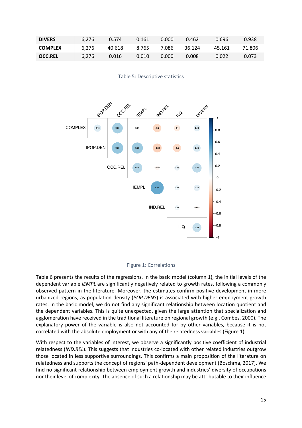| <b>DIVERS</b>  | 6,276 | 0.574              | 0.161 | 0.000 | 0.462  | 0.696  | 0.938  |
|----------------|-------|--------------------|-------|-------|--------|--------|--------|
| <b>COMPLEX</b> | 6,276 | 40.618 8.765 7.086 |       |       | 36.124 | 45.161 | 71.806 |
| <b>OCC.REL</b> | 6,276 | 0.016              | 0.010 | 0.000 | 0.008  | 0.022  | 0.073  |

Table 5: Descriptive statistics





Table 6 presents the results of the regressions. In the basic model (column 1), the initial levels of the dependent variable *lEMPL* are significantly negatively related to growth rates, following a commonly observed pattern in the literature. Moreover, the estimates confirm positive development in more urbanized regions, as population density (*POP.DENS*) is associated with higher employment growth rates. In the basic model, we do not find any significant relationship between location quotient and the dependent variables. This is quite unexpected, given the large attention that specialization and agglomeration have received in the traditional literature on regional growth (e.g., Combes, 2000). The explanatory power of the variable is also not accounted for by other variables, because it is not correlated with the absolute employment or with any of the relatedness variables (Figure 1).

With respect to the variables of interest, we observe a significantly positive coefficient of industrial relatedness (*IND.REL*). This suggests that industries co-located with other related industries outgrow those located in less supportive surroundings. This confirms a main proposition of the literature on relatedness and supports the concept of regions' path-dependent development (Boschma, 2017). We find no significant relationship between employment growth and industries' diversity of occupations nor their level of complexity. The absence of such a relationship may be attributable to their influence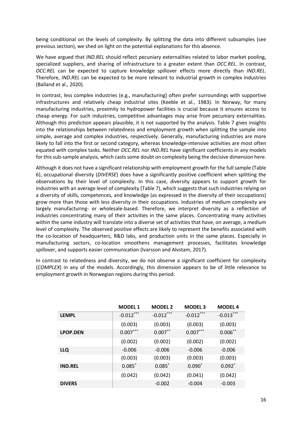being conditional on the levels of complexity. By splitting the data into different subsamples (see previous section), we shed on light on the potential explanations for this absence.

We have argued that *IND.REL* should reflect pecuniary externalities related to labor market pooling, specialized suppliers, and sharing of infrastructure to a greater extent than *OCC.REL*. In contrast, *OCC.REL* can be expected to capture knowledge spillover effects more directly than *IND.REL*. Therefore, *IND.REL* can be expected to be more relevant to industrial growth in complex industries (Balland et al., 2020).

In contrast, less complex industries (e.g., manufacturing) often prefer surroundings with supportive infrastructures and relatively cheap industrial sites (Keeble et al., 1983). In Norway, for many manufacturing industries, proximity to hydropower facilities is crucial because it ensures access to cheap energy. For such industries, competitive advantages may arise from pecuniary externalities. Although this prediction appears plausible, it is not supported by the analysis. Table 7 gives insights into the relationships between relatedness and employment growth when splitting the sample into simple, average and complex industries, respectively. Generally, manufacturing industries are more likely to fall into the first or second category, whereas knowledge-intensive activities are most often equated with complex tasks. Neither *OCC.REL* nor *IND.REL* have significant coefficients in any models for this sub-sample analysis, which casts some doubt on complexity being the decisive dimension here.

Although it does not have a significant relationship with employment growth for the full sample (Table 6), occupational diversity (*DIVERSE*) does have a significantly positive coefficient when splitting the observations by their level of complexity. In this case, diversity appears to support growth for industries with an average level of complexity (Table 7), which suggests that such industries relying on a diversity of skills, competences, and knowledge (as expressed in the diversity of their occupations) grow more than those with less diversity in their occupations. Industries of medium complexity are largely manufacturing- or wholesale-based. Therefore, we interpret diversity as a reflection of industries concentrating many of their activities in the same places. Concentrating many activities within the same industry will translate into a diverse set of activities that have, on average, a medium level of complexity. The observed positive effects are likely to represent the benefits associated with the co-location of headquarters, R&D labs, and production units in the same places. Especially in manufacturing sectors, co-location smoothens management processes, facilitates knowledge spillover, and supports easier communication (Ivarsson and Alvstam, 2017).

In contrast to relatedness and diversity, we do not observe a significant coefficient for complexity (*COMPLEX*) in any of the models. Accordingly, this dimension appears to be of little relevance to employment growth in Norwegian regions during this period.

|                 | <b>MODEL 1</b> | <b>MODEL 2</b> | <b>MODEL 3</b> | <b>MODEL 4</b> |
|-----------------|----------------|----------------|----------------|----------------|
| <b>LEMPL</b>    | $-0.012***$    | $-0.012***$    | $-0.012***$    | $-0.013***$    |
|                 | (0.003)        | (0.003)        | (0.003)        | (0.003)        |
| <b>LPOP.DEN</b> | $0.007***$     | $0.007***$     | $0.007***$     | $0.006***$     |
|                 | (0.002)        | (0.002)        | (0.002)        | (0.002)        |
| LLQ             | $-0.006$       | $-0.006$       | $-0.006$       | $-0.006$       |
|                 | (0.003)        | (0.003)        | (0.003)        | (0.003)        |
| <b>IND.REL</b>  | $0.085^*$      | $0.085$ *      | $0.090^*$      | $0.092^*$      |
|                 | (0.042)        | (0.042)        | (0.041)        | (0.042)        |
| <b>DIVERS</b>   |                | $-0.002$       | $-0.004$       | $-0.003$       |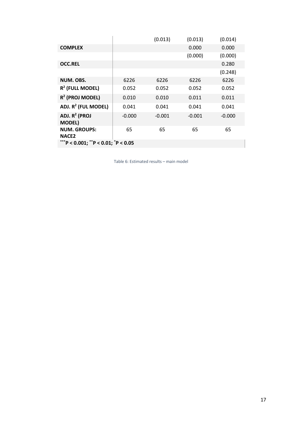|                                     |          | (0.013)  | (0.013)  | (0.014)  |  |  |  |  |  |
|-------------------------------------|----------|----------|----------|----------|--|--|--|--|--|
| <b>COMPLEX</b>                      |          |          | 0.000    | 0.000    |  |  |  |  |  |
|                                     |          |          | (0.000)  | (0.000)  |  |  |  |  |  |
| <b>OCC.REL</b>                      |          |          |          | 0.280    |  |  |  |  |  |
|                                     |          |          |          | (0.248)  |  |  |  |  |  |
| NUM. OBS.                           | 6226     | 6226     | 6226     | 6226     |  |  |  |  |  |
| $R^2$ (FULL MODEL)                  | 0.052    | 0.052    | 0.052    | 0.052    |  |  |  |  |  |
| $R^2$ (PROJ MODEL)                  | 0.010    | 0.010    | 0.011    | 0.011    |  |  |  |  |  |
| ADJ. R <sup>2</sup> (FUL MODEL)     | 0.041    | 0.041    | 0.041    | 0.041    |  |  |  |  |  |
| ADJ. $R^2$ (PROJ<br><b>MODEL)</b>   | $-0.000$ | $-0.001$ | $-0.001$ | $-0.000$ |  |  |  |  |  |
| <b>NUM. GROUPS:</b><br><b>NACE2</b> | 65       | 65       | 65       | 65       |  |  |  |  |  |
| ***P < 0.001; **P < 0.01; *P < 0.05 |          |          |          |          |  |  |  |  |  |

Table 6: Estimated results – main model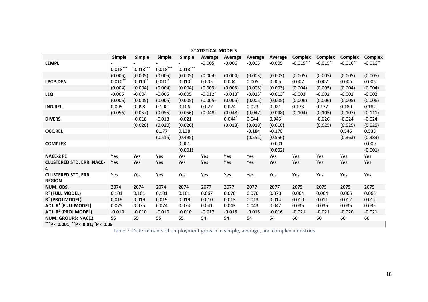| <b>STATISTICAL MODELS</b>                   |                                     |            |                        |                        |                       |          |          |                       |                |                |                |                |
|---------------------------------------------|-------------------------------------|------------|------------------------|------------------------|-----------------------|----------|----------|-----------------------|----------------|----------------|----------------|----------------|
|                                             | <b>Simple</b>                       | Simple     | <b>Simple</b>          | Simple                 | Average               | Average  | Average  | Average               | <b>Complex</b> | <b>Complex</b> | <b>Complex</b> | <b>Complex</b> |
| <b>LEMPL</b>                                |                                     |            |                        |                        | $-0.005$              | $-0.006$ | $-0.005$ | $-0.005$              | $-0.015***$    | $-0.015***$    | $-0.016$ **    | $-0.016$ **    |
|                                             | $0.018^{\ast\ast\ast}$              | $0.018***$ | $0.018^{\ast\ast\ast}$ | $0.018^{\ast\ast\ast}$ |                       |          |          |                       |                |                |                |                |
|                                             | (0.005)                             | (0.005)    | (0.005)                | (0.005)                | (0.004)               | (0.004)  | (0.003)  | (0.003)               | (0.005)        | (0.005)        | (0.005)        | (0.005)        |
| <b>LPOP.DEN</b>                             | $0.010**$                           | $0.010**$  | $0.010*$               | $0.010*$               | 0.005                 | 0.004    | 0.005    | 0.005                 | 0.007          | 0.007          | 0.006          | 0.006          |
|                                             | (0.004)                             | (0.004)    | (0.004)                | (0.004)                | (0.003)               | (0.003)  | (0.003)  | (0.003)               | (0.004)        | (0.005)        | (0.004)        | (0.004)        |
| LLQ                                         | $-0.005$                            | $-0.004$   | $-0.005$               | $-0.005$               | $-0.012$ <sup>*</sup> | $-0.013$ | $-0.013$ | $-0.013$ <sup>*</sup> | $-0.003$       | $-0.002$       | $-0.002$       | $-0.002$       |
|                                             | (0.005)                             | (0.005)    | (0.005)                | (0.005)                | (0.005)               | (0.005)  | (0.005)  | (0.005)               | (0.006)        | (0.006)        | (0.005)        | (0.006)        |
| <b>IND.REL</b>                              | 0.095                               | 0.098      | 0.100                  | 0.106                  | 0.027                 | 0.024    | 0.023    | 0.021                 | 0.173          | 0.177          | 0.180          | 0.182          |
|                                             | (0.056)                             | (0.057)    | (0.055)                | (0.056)                | (0.048)               | (0.048)  | (0.047)  | (0.048)               | (0.104)        | (0.105)        | (0.107)        | (0.111)        |
| <b>DIVERS</b>                               |                                     | $-0.018$   | $-0.018$               | $-0.021$               |                       | $0.044*$ | $0.044*$ | 0.045                 |                | $-0.026$       | $-0.024$       | $-0.024$       |
|                                             |                                     | (0.020)    | (0.020)                | (0.020)                |                       | (0.018)  | (0.018)  | (0.018)               |                | (0.025)        | (0.025)        | (0.025)        |
| <b>OCC.REL</b>                              |                                     |            | 0.177                  | 0.138                  |                       |          | $-0.184$ | $-0.178$              |                |                | 0.546          | 0.538          |
|                                             |                                     |            | (0.515)                | (0.495)                |                       |          | (0.551)  | (0.556)               |                |                | (0.363)        | (0.383)        |
| <b>COMPLEX</b>                              |                                     |            |                        | 0.001                  |                       |          |          | $-0.001$              |                |                |                | 0.000          |
|                                             |                                     |            |                        | (0.001)                |                       |          |          | (0.002)               |                |                |                | (0.001)        |
| <b>NACE-2 FE</b>                            | Yes                                 | Yes        | Yes                    | Yes                    | Yes                   | Yes      | Yes      | Yes                   | Yes            | Yes            | Yes            | Yes            |
| <b>CLUSTERED STD. ERR. NACE-</b><br>4       | Yes                                 | Yes        | Yes                    | Yes                    | Yes                   | Yes      | Yes      | Yes                   | Yes            | Yes            | Yes            | Yes            |
| <b>CLUSTERED STD. ERR.</b><br><b>REGION</b> | Yes                                 | Yes        | Yes                    | Yes                    | Yes                   | Yes      | Yes      | Yes                   | Yes            | Yes            | Yes            | Yes            |
| NUM. OBS.                                   | 2074                                | 2074       | 2074                   | 2074                   | 2077                  | 2077     | 2077     | 2077                  | 2075           | 2075           | 2075           | 2075           |
| $R^2$ (FULL MODEL)                          | 0.101                               | 0.101      | 0.101                  | 0.101                  | 0.067                 | 0.070    | 0.070    | 0.070                 | 0.064          | 0.064          | 0.065          | 0.065          |
| R <sup>2</sup> (PROJ MODEL)                 | 0.019                               | 0.019      | 0.019                  | 0.019                  | 0.010                 | 0.013    | 0.013    | 0.014                 | 0.010          | 0.011          | 0.012          | 0.012          |
| ADJ. R <sup>2</sup> (FULL MODEL)            | 0.075                               | 0.075      | 0.074                  | 0.074                  | 0.041                 | 0.043    | 0.043    | 0.042                 | 0.035          | 0.035          | 0.035          | 0.035          |
| ADJ. R <sup>2</sup> (PROJ MODEL)            | $-0.010$                            | $-0.010$   | $-0.010$               | $-0.010$               | $-0.017$              | $-0.015$ | $-0.015$ | $-0.016$              | $-0.021$       | $-0.021$       | $-0.020$       | $-0.021$       |
| <b>NUM. GROUPS: NACE2</b>                   | 55                                  | 55         | 55                     | 55                     | 54                    | 54       | 54       | 54                    | 60             | 60             | 60             | 60             |
|                                             | ***P < 0.001; **P < 0.01; *P < 0.05 |            |                        |                        |                       |          |          |                       |                |                |                |                |

Table 7: Determinants of employment growth in simple, average, and complex industries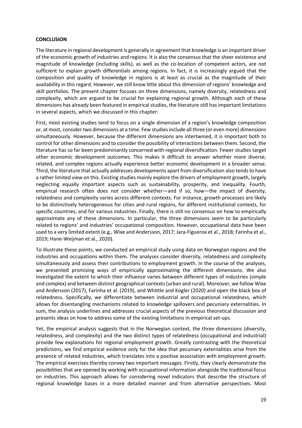#### **CONCLUSION**

The literature in regional development is generally in agreement that knowledge is an important driver of the economic growth of industries and regions. It is also the consensus that the sheer existence and magnitude of knowledge (including skills), as well as the co-location of competent actors, are not sufficient to explain growth differentials among regions. In fact, it is increasingly argued that the composition and quality of knowledge in regions is at least as crucial as the magnitude of their availability in this regard. However, we still know little about this dimension of regions' knowledge and skill portfolios. The present chapter focuses on three dimensions, namely diversity, relatedness and complexity, which are argued to be crucial for explaining regional growth. Although each of these dimensions has already been featured in empirical studies, the literature still has important limitations in several aspects, which we discussed in this chapter:

First, most existing studies tend to focus on a single dimension of a region's knowledge composition or, at most, consider two dimensions at a time. Few studies include all three (or even more) dimensions simultaneously. However, because the different dimensions are intertwined, it is important both to control for other dimensions and to consider the possibility of interactions between them. Second, the literature has so far been predominantly concerned with regional diversification. Fewer studies target other economic development outcomes. This makes it difficult to answer whether more diverse, related, and complex regions actually experience better economic development in a broader sense. Third, the literature that actually addresses developments apart from diversification also tends to have a rather limited view on this. Existing studies mainly explore the drivers of employment growth, largely neglecting equally important aspects such as sustainability, prosperity, and inequality. Fourth, empirical research often does not consider whether—and if so, how—the impact of diversity, relatedness and complexity varies across different contexts. For instance, growth processes are likely to be distinctively heterogeneous for cities and rural regions, for different institutional contexts, for specific countries, and for various industries. Finally, there is still no consensus on how to empirically approximate any of these dimensions. In particular, the three dimensions seem to be particularly related to regions' and industries' occupational composition. However, occupational data have been used to a very limited extent (e.g., Wixe and Andersson, 2017; Jara-Figueroa et al., 2018; Farinha et al., 2019; Hane-Weijman et al., 2020).

To illustrate these points, we conducted an empirical study using data on Norwegian regions and the industries and occupations within them. The analyses consider diversity, relatedness and complexity simultaneously and assess their contributions to employment growth. In the course of the analyses, we presented promising ways of empirically approximating the different dimensions. We also investigated the extent to which their influence varies between different types of industries (simple and complex) and between distinct geographical contexts (urban and rural). Moreover, we follow Wixe and Andersson (2017), Farinha et al. (2019), and Whittle and Kogler (2020) and open the black box of relatedness. Specifically, we differentiate between industrial and occupational relatedness, which allows for disentangling mechanisms related to knowledge spillovers and pecuniary externalities. In sum, the analysis underlines and addresses crucial aspects of the previous theoretical discussion and presents ideas on how to address some of the existing limitations in empirical set-ups.

Yet, the empirical analysis suggests that in the Norwegian context, the three dimensions (diversity, relatedness, and complexity) and the two distinct types of relatedness (occupational and industrial) provide few explanations for regional employment growth. Greatly contrasting with the theoretical predictions, we find empirical evidence only for the idea that pecuniary externalities arise from the presence of related industries, which translates into a positive association with employment growth. The empirical exercises thereby convey two important messages. Firstly, they clearly demonstrate the possibilities that are opened by working with occupational information alongside the traditional focus on industries. This approach allows for considering novel indicators that describe the structure of regional knowledge bases in a more detailed manner and from alternative perspectives. Most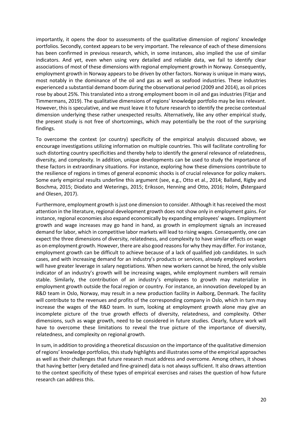importantly, it opens the door to assessments of the qualitative dimension of regions' knowledge portfolios. Secondly, context appears to be very important. The relevance of each of these dimensions has been confirmed in previous research, which, in some instances, also implied the use of similar indicators. And yet, even when using very detailed and reliable data, we fail to identify clear associations of most of these dimensions with regional employment growth in Norway. Consequently, employment growth in Norway appears to be driven by other factors. Norway is unique in many ways, most notably in the dominance of the oil and gas as well as seafood industries. These industries experienced a substantial demand boom during the observational period (2009 and 2014), as oil prices rose by about 25%. This translated into a strong employment boom in oil and gas industries (Fitjar and Timmermans, 2019). The qualitative dimensions of regions' knowledge portfolio may be less relevant. However, this is speculative, and we must leave it to future research to identify the precise contextual dimension underlying these rather unexpected results. Alternatively, like any other empirical study, the present study is not free of shortcomings, which may potentially be the root of the surprising findings.

To overcome the context (or country) specificity of the empirical analysis discussed above, we encourage investigations utilizing information on multiple countries. This will facilitate controlling for such distorting country specificities and thereby help to identify the general relevance of relatedness, diversity, and complexity. In addition, unique developments can be used to study the importance of these factors in extraordinary situations. For instance, exploring how these dimensions contribute to the resilience of regions in times of general economic shocks is of crucial relevance for policy makers. Some early empirical results underline this argument (see, e.g., Otto et al., 2014; Balland, Rigby and Boschma, 2015; Diodato and Weterings, 2015; Eriksson, Henning and Otto, 2016; Holm, Østergaard and Olesen, 2017).

Furthermore, employment growth is just one dimension to consider. Although it hasreceived the most attention in the literature, regional development growth does not show only in employment gains. For instance, regional economies also expand economically by expanding employees' wages. Employment growth and wage increases may go hand in hand, as growth in employment signals an increased demand for labor, which in competitive labor markets will lead to rising wages. Consequently, one can expect the three dimensions of diversity, relatedness, and complexity to have similar effects on wage as on employment growth. However, there are also good reasons for why they may differ. For instance, employment growth can be difficult to achieve because of a lack of qualified job candidates. In such cases, and with increasing demand for an industry's products or services, already employed workers will have greater leverage in salary negotiations. When new workers cannot be hired, the only visible indicator of an industry's growth will be increasing wages, while employment numbers will remain stable. Similarly, the contribution of an industry's employees to growth may materialize in employment growth outside the focal region or country. For instance, an innovation developed by an R&D team in Oslo, Norway, may result in a new production facility in Aalborg, Denmark. The facility will contribute to the revenues and profits of the corresponding company in Oslo, which in turn may increase the wages of the R&D team. In sum, looking at employment growth alone may give an incomplete picture of the true growth effects of diversity, relatedness, and complexity. Other dimensions, such as wage growth, need to be considered in future studies. Clearly, future work will have to overcome these limitations to reveal the true picture of the importance of diversity, relatedness, and complexity on regional growth.

In sum, in addition to providing a theoretical discussion on the importance of the qualitative dimension of regions' knowledge portfolios, this study highlights and illustrates some of the empirical approaches as well as their challenges that future research must address and overcome. Among others, it shows that having better (very detailed and fine-grained) data is not always sufficient. It also draws attention to the context specificity of these types of empirical exercises and raises the question of how future research can address this.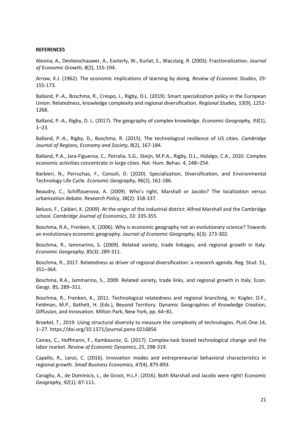#### **REFERENCES**

Alesina, A., Devleeschauwer, A., Easterly, W., Kurlat, S., Wacziarg, R. (2003). Fractionalization. *Journal of Economic Growth, 8*(2), 155-194.

Arrow, K.J. (1962). The economic implications of learning by doing. *Review of Economic Studies*, 29: 155-173.

Balland, P.-A., Boschma, R., Crespo, J., Rigby, D.L. (2019). Smart specialization policy in the European Union: Relatedness, knowledge complexity and regional diversification. *Regional Studies, 53*(9), 1252- 1268.

Balland, P.-A., Rigby, D. L. (2017). The geography of complex knowledge*. Economic Geography, 93*(1), 1–23.

Balland, P.-A., Rigby, D., Boschma, R. (2015). The technological resilience of US cities. *Cambridge Journal of Regions, Economy and Society*, 8(2), 167-184.

Balland, P.A., Jara-Figueroa, C., Petralia, S.G., Steijn, M.P.A., Rigby, D.L., Hidalgo, C.A., 2020. Complex economic activities concentrate in large cities. Nat. Hum. Behav. 4, 248–254.

Barbieri, N., Perruchas, F., Consoli, D. (2020). Specialization, Diversification, and Environmental Technology Life Cycle. *Economic Geography*, 96(2), 161-186.

Beaudry, C., Schiffauerova, A. (2009). Who's right, Marshall or Jacobs? The localization versus urbanization debate. *Research Policy*, 38(2): 318-337.

Belussi, F., Caldari, K. (2009). At the origin of the industrial district: Alfred Marshall and the Cambridge school. *Cambridge Journal of Economics*, 33: 335-355.

Boschma, R.A., Frenken, K. (2006). Why is economic geography not an evolutionary science? Towards an evolutionary economic geography. *Journal of Economic Geography*, 6(3): 273-302.

Boschma, R., Iammarino, S. (2009). Related variety, trade linkages, and regional growth in Italy. *Economic Geography*, 85(3): 289-311.

Boschma, R., 2017. Relatedness as driver of regional diversification: a research agenda. Reg. Stud. 51, 351–364.

Boschma, R.A., Iammarino, S., 2009. Related variety, trade links, and regional growth in Italy. Econ. Geogr. 85, 289–311.

Boschma, R., Frenken, K., 2011. Technological relatedness and regional branching, in: Kogler, D.F., Feldman, M.P., Bathelt, H. (Eds.), Beyond Territory. Dynamic Geographies of Knowledge Creation, Diffusion, and Innovation. Milton Park, New York, pp. 64–81.

Broekel, T., 2019. Using structural diversity to measure the complexity of technologies. PLoS One 14, 1–27. https://doi.org/10.1371/journal.pone.0216856

Caines, C., Hoffmann, F., Kambourov, G. (2017). Complex-task biased technological change and the labor market. *Review of Economic Dynamics, 25*, 298-319.

Capello, R., Lenzi, C. (2016). Innovation modes and entrepreneurial behavioral characteristics in regional growth. *Small Business Economics, 47*(4), 875-893.

Caragliu, A., de Dominicis, L., de Groot, H.L.F. (2016). Both Marshall and Jacobs were right! *Economic Geography*, *92*(1): 87-111.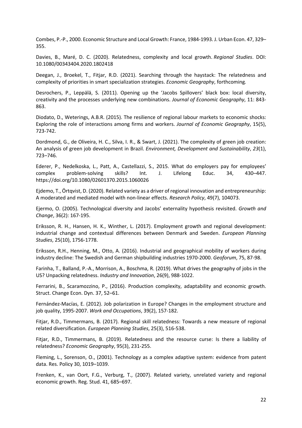Combes, P.-P., 2000. Economic Structure and Local Growth: France, 1984-1993. J. Urban Econ. 47, 329– 355.

Davies, B., Maré, D. C. (2020). Relatedness, complexity and local growth. *Regional Studies*. DOI: 10.1080/00343404.2020.1802418

Deegan, J., Broekel, T., Fitjar, R.D. (2021). Searching through the haystack: The relatedness and complexity of priorities in smart specialization strategies. *Economic Geography*, forthcoming*.*

Desrochers, P., Leppälä, S. (2011). Opening up the 'Jacobs Spillovers' black box: local diversity, creativity and the processes underlying new combinations. *Journal of Economic Geography*, 11: 843- 863.

Diodato, D., Weterings, A.B.R. (2015). The resilience of regional labour markets to economic shocks: Exploring the role of interactions among firms and workers. *Journal of Economic Geography*, 15(5), 723-742.

Dordmond, G., de Oliveira, H. C., Silva, I. R., & Swart, J. (2021). The complexity of green job creation: An analysis of green job development in Brazil. *Environment, Development and Sustainability*, *23*(1), 723–746.

Ederer, P., Nedelkoska, L., Patt, A., Castellazzi, S., 2015. What do employers pay for employees' complex problem-solving skills? Int. J. Lifelong Educ. 34, 430–447. https://doi.org/10.1080/02601370.2015.1060026

Ejdemo, T., Örtqvist, D. (2020). Related variety as a driver of regional innovation and entrepreneurship: A moderated and mediated model with non-linear effects. *Research Policy*, 49(7), 104073.

Ejermo, O. (2005). Technological diversity and Jacobs' externality hypothesis revisited. *Growth and Change*, 36(2): 167-195.

Eriksson, R. H., Hansen, H. K., Winther, L. (2017). Employment growth and regional development: industrial change and contextual differences between Denmark and Sweden. *European Planning Studies*, 25(10), 1756-1778.

Eriksson, R.H., Henning, M., Otto, A. (2016). Industrial and geographical mobility of workers during industry decline: The Swedish and German shipbuilding industries 1970-2000. *Geoforum*, 75, 87-98.

Farinha, T., Balland, P.-A., Morrison, A., Boschma, R. (2019). What drives the geography of jobs in the US? Unpacking relatedness. *Industry and Innovation*, 26(9), 988-1022.

Ferrarini, B., Scaramozzino, P., (2016). Production complexity, adaptability and economic growth. Struct. Change Econ. Dyn. 37, 52–61.

Fernández-Macías, E. (2012). Job polarization in Europe? Changes in the employment structure and job quality, 1995-2007. *Work and Occupations*, 39(2), 157-182.

Fitjar, R.D., Timmermans, B. (2017). Regional skill relatedness: Towards a new measure of regional related diversification*. European Planning Studies*, 25(3), 516-538.

Fitjar, R.D., Timmermans, B. (2019). Relatedness and the resource curse: Is there a liability of relatedness? *Economic Geography*, 95(3), 231-255.

Fleming, L., Sorenson, O., (2001). Technology as a complex adaptive system: evidence from patent data. Res. Policy 30, 1019–1039.

Frenken, K., van Oort, F.G., Verburg, T., (2007). Related variety, unrelated variety and regional economic growth. Reg. Stud. 41, 685–697.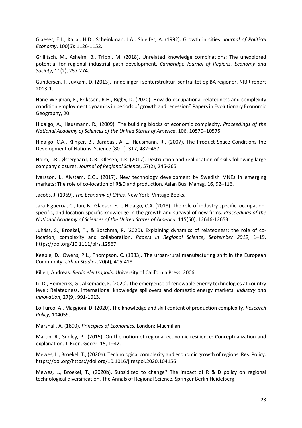Glaeser, E.L., Kallal, H.D., Scheinkman, J.A., Shleifer, A. (1992). Growth in cities. *Journal of Political Economy*, 100(6): 1126-1152.

Grillitsch, M., Asheim, B., Trippl, M. (2018). Unrelated knowledge combinations: The unexplored potential for regional industrial path development. *Cambridge Journal of Regions, Economy and Society*, 11(2), 257-274.

Gundersen, F. Juvkam, D. (2013). Inndelinger i senterstruktur, sentralitet og BA regioner. NIBR report 2013-1.

Hane-Weijman, E., Eriksson, R.H., Rigby, D. (2020). How do occupational relatedness and complexity condition employment dynamics in periods of growth and recession? Papers in Evolutionary Economic Geography, 20.

Hidalgo, A., Hausmann, R., (2009). The building blocks of economic complexity. *Proceedings of the National Academy of Sciences of the United States of America*, 106, 10570–10575.

Hidalgo, C.A., Klinger, B., Barabasi, A.-L., Hausmann, R., (2007). The Product Space Conditions the Development of Nations. Science (80-. ). 317, 482–487.

Holm, J.R., Østergaard, C.R., Olesen, T.R. (2017). Destruction and reallocation of skills following large company closures. *Journal of Regional Science*, 57(2), 245-265.

Ivarsson, I., Alvstam, C.G., (2017). New technology development by Swedish MNEs in emerging markets: The role of co-location of R&D and production. Asian Bus. Manag. 16, 92–116.

Jacobs, J. (1969). *The Economy of Cities.* New York: Vintage Books.

Jara-Figueroa, C., Jun, B., Glaeser, E.L., Hidalgo, C.A. (2018). The role of industry-specific, occupationspecific, and location-specific knowledge in the growth and survival of new firms. *Proceedings of the National Academy of Sciences of the United States of America*, 115(50), 12646-12653.

Juhász, S., Broekel, T., & Boschma, R. (2020). Explaining dynamics of relatedness: the role of colocation, complexity and collaboration. *Papers in Regional Science*, *September 2019*, 1–19. https://doi.org/10.1111/pirs.12567

Keeble, D., Owens, P.L., Thompson, C. (1983). The urban-rural manufacturing shift in the European Community. *Urban Studies*, 20(4), 405-418.

Killen, Andreas. *Berlin electropolis*. University of California Press, 2006.

Li, D., Heimeriks, G., Alkemade, F. (2020). The emergence of renewable energy technologies at country level: Relatedness, international knowledge spillovers and domestic energy markets. *Industry and Innovation*, 27(9), 991-1013.

Lo Turco, A., Maggioni, D. (2020). The knowledge and skill content of production complexity. *Research Policy*, 104059.

Marshall, A. (1890). *Principles of Economics.* London: Macmillan.

Martin, R., Sunley, P., (2015). On the notion of regional economic resilience: Conceptualization and explanation. J. Econ. Geogr. 15, 1–42.

Mewes, L., Broekel, T., (2020a). Technological complexity and economic growth of regions. Res. Policy. https://doi.org/https://doi.org/10.1016/j.respol.2020.104156

Mewes, L., Broekel, T., (2020b). Subsidized to change? The impact of R & D policy on regional technological diversification, The Annals of Regional Science. Springer Berlin Heidelberg.